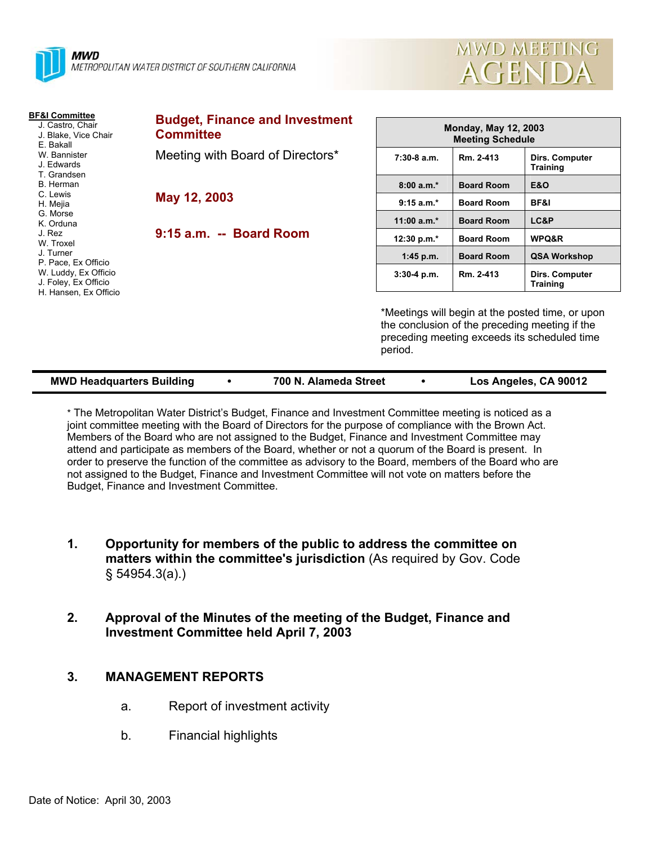

| MWD MEETING |  |
|-------------|--|
| AGENDA      |  |

| <b>BF&amp;I Committee</b><br>J. Castro, Chair<br>J. Blake, Vice Chair<br>E. Bakall   | <b>Budget, Finance and Investment</b><br><b>Committee</b> | <b>Monday, May 12, 2003</b><br><b>Meeting Schedule</b> |                   |                                                                                                                                                    |  |
|--------------------------------------------------------------------------------------|-----------------------------------------------------------|--------------------------------------------------------|-------------------|----------------------------------------------------------------------------------------------------------------------------------------------------|--|
| W. Bannister<br>J. Edwards<br>T. Grandsen                                            | Meeting with Board of Directors*                          | $7:30-8$ a.m.                                          | Rm. 2-413         | Dirs. Computer<br><b>Training</b>                                                                                                                  |  |
| B. Herman                                                                            |                                                           | $8:00a.m.*$                                            | <b>Board Room</b> | <b>E&amp;O</b>                                                                                                                                     |  |
| C. Lewis<br>May 12, 2003<br>H. Mejia<br>G. Morse<br>K. Orduna<br>J. Rez<br>W. Troxel |                                                           | $9:15 a.m.*$                                           | <b>Board Room</b> | BF&I                                                                                                                                               |  |
|                                                                                      |                                                           | 11:00 $a.m.*$                                          | <b>Board Room</b> | LC&P                                                                                                                                               |  |
|                                                                                      | 9:15 a.m. -- Board Room                                   | 12:30 p.m.*                                            | <b>Board Room</b> | WPQ&R                                                                                                                                              |  |
| J. Turner<br>P. Pace, Ex Officio                                                     |                                                           | $1:45$ p.m.                                            | <b>Board Room</b> | <b>QSA Workshop</b>                                                                                                                                |  |
| W. Luddy, Ex Officio<br>J. Foley, Ex Officio                                         |                                                           | $3:30-4$ p.m.                                          | Rm. 2-413         | <b>Dirs. Computer</b><br><b>Training</b>                                                                                                           |  |
| H. Hansen, Ex Officio                                                                |                                                           | period.                                                |                   | *Meetings will begin at the posted time, or upon<br>the conclusion of the preceding meeting if the<br>preceding meeting exceeds its scheduled time |  |

| <b>MWD Headquarters Building</b> | 700 N. Alameda Street | Los Angeles, CA 90012 |
|----------------------------------|-----------------------|-----------------------|
|                                  |                       |                       |

\* The Metropolitan Water District's Budget, Finance and Investment Committee meeting is noticed as a joint committee meeting with the Board of Directors for the purpose of compliance with the Brown Act. Members of the Board who are not assigned to the Budget, Finance and Investment Committee may attend and participate as members of the Board, whether or not a quorum of the Board is present. In order to preserve the function of the committee as advisory to the Board, members of the Board who are not assigned to the Budget, Finance and Investment Committee will not vote on matters before the Budget, Finance and Investment Committee.

- **1. Opportunity for members of the public to address the committee on matters within the committee's jurisdiction** (As required by Gov. Code § 54954.3(a).)
- **2. Approval of the Minutes of the meeting of the Budget, Finance and Investment Committee held April 7, 2003**

# **3. MANAGEMENT REPORTS**

- a. Report of investment activity
- b. Financial highlights